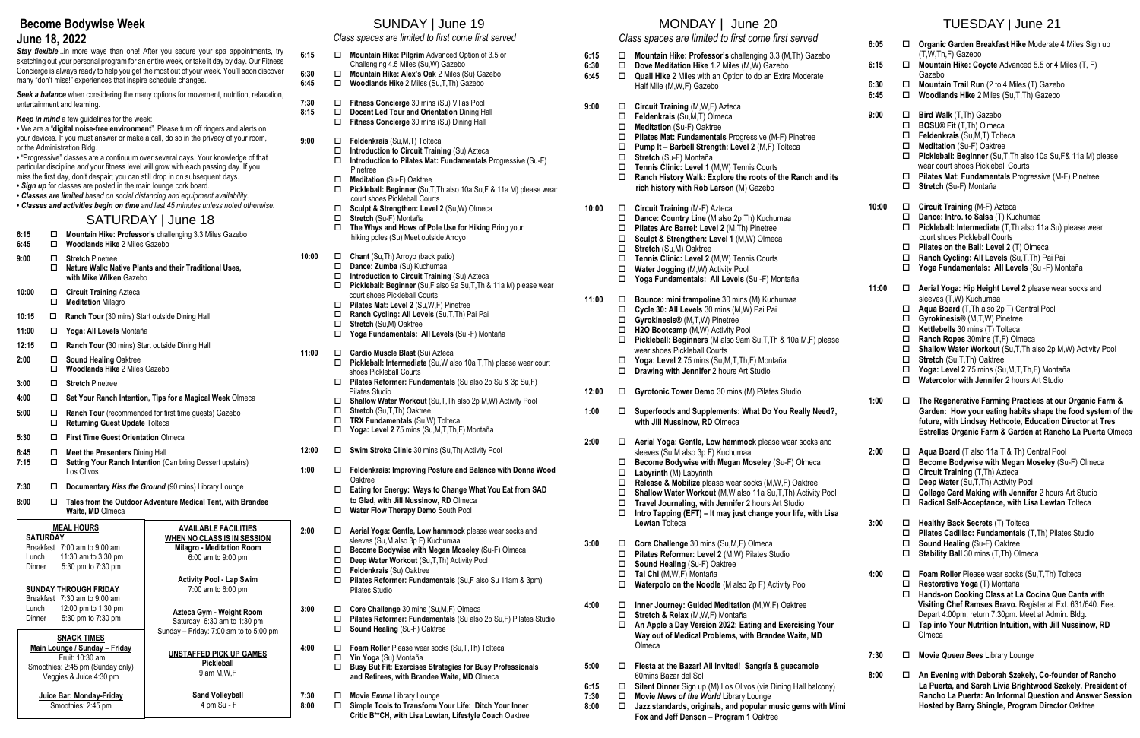# **Become Bodywise Week**

#### **June 18, 2022**

**Stay flexible...in more ways than one! After you secure your spa appointments, try** sketching out your personal program for an entire week, or take it day by day. Our Fitness Concierge is always ready to help you get the most out of your week. You'll soon discover many "don't miss!" experiences that inspire schedule changes.

**Seek a balance** when considering the many options for movement, nutrition, relaxation, entertainment and learning.

- *Keep in mind* a few guidelines for the week:
- **•** We are a "**digital noise-free environment**". Please turn off ringers and alerts on your devices. If you must answer or make a call, do so in the privacy of your room, or the Administration Bldg.
- **•** "Progressive" classes are a continuum over several days. Your knowledge of that particular discipline *and* your fitness level will grow with each passing day. If you miss the first day, don't despair; you can still drop in on subsequent days.
- *Sign up* for classes are posted in the main lounge cork board.
- *Classes are limited based on social distancing and equipment availability.*  **•** *Classes and activities begin on time and last 45 minutes unless noted otherwise.*

# SATURDAY | June 18

- **6:15 Mountain Hike: Professor's** challenging 3.3 Miles Gazebo
- **6:45 Woodlands Hike** 2 Miles Gazebo
- **9:00 Stretch** Pinetree
	- **Nature Walk: Native Plants and their Traditional Uses, with Mike Wilken** Gazebo
- **10:00 Circuit Training** Azteca
- **Meditation** Milagro
- 10:15  $\Box$  **Ranch Tour** (30 mins) Start outside Dining Hall
- **11:00 Yoga: All Levels** Montaña
- 12:15  $\Box$  **Ranch Tour** (30 mins) Start outside Dining Hall
- **2:00 □ Sound Healing Oaktree**
- **Woodlands Hike** 2 Miles Gazebo
- **3:00 Stretch** Pinetree
- **4:00 Set Your Ranch Intention, Tips for a Magical Week** Olmeca
- **5:00 Ranch Tour** (recommended for first time guests) Gazebo **Returning Guest Update** Tolteca
- **5:30 First Time Guest Orientation** Olmeca
- **6:45 Meet the Presenters** Dining Hall
- **7:15 Setting Your Ranch Intention** (Can bring Dessert upstairs) Los Olivos
- **7:30 Documentary** *Kiss the Ground* (90 mins) Library Lounge
- **8:00 Tales from the Outdoor Adventure Medical Tent, with Brandee Waite, MD** Olmeca

# SUNDAY | June 19

|              | Class spaces are limited to first come first served |                                                                                                                                                                                                                                                                                                                                   |  |
|--------------|-----------------------------------------------------|-----------------------------------------------------------------------------------------------------------------------------------------------------------------------------------------------------------------------------------------------------------------------------------------------------------------------------------|--|
| 6:15         | ◻                                                   | Mountain Hike: Pilgrim Advanced Option of 3.5 or<br>Challenging 4.5 Miles (Su, W) Gazebo<br>Mountain Hike: Alex's Oak 2 Miles (Su) Gazebo<br>Woodlands Hike 2 Miles (Su, T, Th) Gazebo<br>Fitness Concierge 30 mins (Su) Villas Pool<br>Docent Led Tour and Orientation Dining Hall<br>Fitness Concierge 30 mins (Su) Dining Hall |  |
| 6:30<br>6:45 | □<br>$\Box$                                         |                                                                                                                                                                                                                                                                                                                                   |  |
| 7:30<br>8:15 | □<br>$\Box$<br>□                                    |                                                                                                                                                                                                                                                                                                                                   |  |
| 9:00         | □<br>□<br>□                                         | Feldenkrais (Su, M, T) Tolteca<br>Introduction to Circuit Training (Su) Azteca<br>Introduction to Pilates Mat: Fundamentals Progressive (Su-F)<br>Pinetree                                                                                                                                                                        |  |
|              | $\Box$<br>$\Box$                                    | Meditation (Su-F) Oaktree<br>Pickleball: Beginner (Su, T, Th also 10a Su, F & 11a M) please wear<br>court shoes Pickleball Courts                                                                                                                                                                                                 |  |
|              | □<br>$\Box$<br>□                                    | Sculpt & Strengthen: Level 2 (Su, W) Olmeca<br>Stretch (Su-F) Montaña<br>The Whys and Hows of Pole Use for Hiking Bring your<br>hiking poles (Su) Meet outside Arroyo                                                                                                                                                             |  |
| 10:00        | □<br>□<br>$\Box$<br>□                               | Chant (Su, Th) Arroyo (back patio)<br>Dance: Zumba (Su) Kuchumaa<br>Introduction to Circuit Training (Su) Azteca<br>Pickleball: Beginner (Su,F also 9a Su,T,Th & 11a M) please wear<br>court shoes Pickleball Courts                                                                                                              |  |
|              | □<br>$\Box$<br>$\Box$<br>□                          | Pilates Mat: Level 2 (Su, W, F) Pinetree<br>Ranch Cycling: All Levels (Su, T, Th) Pai Pai<br><b>Stretch (Su,M) Oaktree</b><br>Yoga Fundamentals: All Levels (Su -F) Montaña                                                                                                                                                       |  |
| 11:00        | □<br>□                                              | Cardio Muscle Blast (Su) Azteca<br>Pickleball: Intermediate (Su, W also 10a T, Th) please wear court<br>shoes Pickleball Courts                                                                                                                                                                                                   |  |
|              | □                                                   | Pilates Reformer: Fundamentals (Su also 2p Su & 3p Su,F)<br>Pilates Studio                                                                                                                                                                                                                                                        |  |
|              | □<br>$\Box$<br>$\Box$<br>□                          | Shallow Water Workout (Su, T, Th also 2p M, W) Activity Pool<br>Stretch (Su, T, Th) Oaktree<br>TRX Fundamentals (Su, W) Tolteca<br>Yoga: Level 2 75 mins (Su, M, T, Th, F) Montaña                                                                                                                                                |  |
| 12:00        |                                                     | □ Swim Stroke Clinic 30 mins (Su, Th) Activity Pool                                                                                                                                                                                                                                                                               |  |
| 1:00         | □                                                   | Feldenkrais: Improving Posture and Balance with Donna Wood<br>Oaktree                                                                                                                                                                                                                                                             |  |
|              | □                                                   | Eating for Energy: Ways to Change What You Eat from SAD<br>to Glad, with Jill Nussinow, RD Olmeca<br>Water Flow Therapy Demo South Pool                                                                                                                                                                                           |  |
|              | □                                                   |                                                                                                                                                                                                                                                                                                                                   |  |
| 2:00         | □<br>□                                              | Aerial Yoga: Gentle, Low hammock please wear socks and<br>sleeves (Su, M also 3p F) Kuchumaa<br>Become Bodywise with Megan Moseley (Su-F) Olmeca                                                                                                                                                                                  |  |
|              | □<br>□<br>□                                         | Deep Water Workout (Su,T,Th) Activity Pool<br>Feldenkrais (Su) Oaktree<br>Pilates Reformer: Fundamentals (Su,F also Su 11am & 3pm)<br><b>Pilates Studio</b>                                                                                                                                                                       |  |
| 3:00         | □<br>□<br>□                                         | Core Challenge 30 mins (Su,M,F) Olmeca<br>Pilates Reformer: Fundamentals (Su also 2p Su, F) Pilates Studio<br>Sound Healing (Su-F) Oaktree                                                                                                                                                                                        |  |
| 4:00         | □<br>□<br>◻                                         | Foam Roller Please wear socks (Su, T, Th) Tolteca<br>Yin Yoga (Su) Montaña<br>Busy But Fit: Exercises Strategies for Busy Professionals<br>and Retirees, with Brandee Waite, MD Olmeca                                                                                                                                            |  |
|              |                                                     |                                                                                                                                                                                                                                                                                                                                   |  |

- **7:30 Movie** *Emma* Library Lounge
- **8:00 Simple Tools to Transform Your Life: Ditch Your Inner Critic B\*\*CH, with Lisa Lewtan, Lifestyle Coach** Oaktree

# MONDAY | June 20

*Class spaces are limited to first come first served*

- **6:15 Mountain Hike: Professor's** challenging 3.3 (M,Th) Gazebo
	-
- **6:30 Dove Meditation Hike** 1.2 Miles (M,W) Gazebo **6:45 Quail Hike** 2 Miles with an Option to do an Extra Moderate Half Mile (M,W,F) Gazebo
- 9:00 **□ Circuit Training** (M,W,F) Azteca
	- **Feldenkrais** (Su,M,T) Olmeca
	- **Meditation** (Su-F) Oaktree
	- **Pilates Mat: Fundamentals** Progressive (M-F) Pinetree
	- **Pump It – Barbell Strength: Level 2** (M,F) Tolteca
	- **C** Stretch *(Su-F)* Montaña
	- **Tennis Clinic: Level 1** (M,W) Tennis Courts
	- **Ranch History Walk: Explore the roots of the Ranch and its rich history with Rob Larson** (M) Gazebo
- **10:00 Circuit Training** (M-F) Azteca
	- **Dance: Country Line** (M also 2p Th) Kuchumaa
	- **Pilates Arc Barrel: Level 2** (M,Th) Pinetree
	- **Sculpt & Strengthen: Level 1** (M,W) Olmeca
	- **Stretch** (Su,M) Oaktree
	- **Tennis Clinic: Level 2** (M,W) Tennis Courts
	- **Water Jogging** (M,W) Activity Pool
	- **Yoga Fundamentals: All Levels** (Su -F) Montaña
- **11:00 Bounce: mini trampoline** 30 mins (M) Kuchumaa
	- **Cycle 30: All Levels** 30 mins (M,W) Pai Pai
	- **Gyrokinesis®** (M,T,W) Pinetree
	- **H2O Bootcamp** (M,W) Activity Pool
	- **Pickleball: Beginners** (M also 9am Su,T,Th & 10a M,F) please wear shoes Pickleball Courts
	- **Yoga: Level 2** 75 mins (Su,M,T,Th,F) Montaña
	- **Drawing with Jennifer** 2 hours Art Studio
- **12:00 Gyrotonic Tower Demo** 30 mins (M) Pilates Studio
- **1:00 Superfoods and Supplements: What Do You Really Need?, with Jill Nussinow, RD** Olmeca
- **2:00 Aerial Yoga: Gentle, Low hammock** please wear socks and sleeves (Su,M also 3p F) Kuchumaa
	- **Become Bodywise with Megan Moseley** (Su-F) Olmeca
	- **Labyrinth** (M) Labyrinth
	- **Release & Mobilize** please wear socks (M,W,F) Oaktree
	- **Shallow Water Workout** (M,W also 11a Su,T,Th) Activity Pool
	- **Travel Journaling, with Jennifer** 2 hours Art Studio
	- **Intro Tapping (EFT) – It may just change your life, with Lisa Lewtan** Tolteca
- **3:00 Core Challenge** 30 mins (Su,M,F) Olmeca
	- **Pilates Reformer: Level 2** (M,W) Pilates Studio
	- **Sound Healing** (Su-F) Oaktree
	- **Tai Chi** (M,W,F) Montaña
	- **Waterpolo on the Noodle** (M also 2p F) Activity Pool
- **4:00 Inner Journey: Guided Meditation** (M,W,F) Oaktree
	- **Stretch & Relax** (M,W,F) Montaña
	- **An Apple a Day Version 2022: Eating and Exercising Your Way out of Medical Problems, with Brandee Waite, MD** Olmeca
- **5:00 Fiesta at the Bazar! All invited! Sangría & guacamole** 60mins Bazar del Sol
- **6:15 Silent Dinner** Sign up (M) Los Olivos (via Dining Hall balcony)
- **7:30 Movie** *News of the World* Library Lounge
- **8:00 Jazz standards, originals, and popular music gems with Mimi Fox and Jeff Denson – Program 1** Oaktree

# TUESDAY | June 21

| 6:05         | $\Box$                                                                  | Organic Garden Breakfast Hike Moderate 4 Miles Sign up<br>(T,W,Th,F) Gazebo                                                                                                                                                                                                                                                                                                 |
|--------------|-------------------------------------------------------------------------|-----------------------------------------------------------------------------------------------------------------------------------------------------------------------------------------------------------------------------------------------------------------------------------------------------------------------------------------------------------------------------|
| 6:15         | □                                                                       | Mountain Hike: Coyote Advanced 5.5 or 4 Miles (T, F)<br>Gazebo                                                                                                                                                                                                                                                                                                              |
| 6:30<br>6:45 | $\Box$<br>$\Box$                                                        | Mountain Trail Run (2 to 4 Miles (T) Gazebo<br>Woodlands Hike 2 Miles (Su, T, Th) Gazebo                                                                                                                                                                                                                                                                                    |
| 9:00         | □<br>□<br>$\Box$<br>$\Box$<br>$\Box$<br>□<br>$\Box$                     | Bird Walk (T, Th) Gazebo<br><b>BOSU® Fit (T,Th) Olmeca</b><br>Feldenkrais (Su, M, T) Tolteca<br>Meditation (Su-F) Oaktree<br>Pickleball: Beginner (Su, T, Th also 10a Su, F& 11a M) please<br>wear court shoes Pickleball Courts<br>Pilates Mat: Fundamentals Progressive (M-F) Pinetree<br>Stretch (Su-F) Montaña                                                          |
| 10:00        | □<br>□<br>$\Box$<br>□                                                   | Circuit Training (M-F) Azteca<br>Dance: Intro. to Salsa (T) Kuchumaa<br>Pickleball: Intermediate (T, Th also 11a Su) please wear<br>court shoes Pickleball Courts<br>Pilates on the Ball: Level 2 (T) Olmeca                                                                                                                                                                |
|              | $\Box$<br>□                                                             | Ranch Cycling: All Levels (Su, T, Th) Pai Pai<br>Yoga Fundamentals: All Levels (Su -F) Montaña                                                                                                                                                                                                                                                                              |
| 11:00        | □                                                                       | Aerial Yoga: Hip Height Level 2 please wear socks and                                                                                                                                                                                                                                                                                                                       |
|              | □<br>$\Box$<br>$\Box$<br>$\Box$<br>$\Box$<br>$\Box$<br>$\Box$<br>$\Box$ | sleeves (T,W) Kuchumaa<br>Aqua Board (T, Th also 2p T) Central Pool<br>Gyrokinesis® (M,T,W) Pinetree<br>Kettlebells 30 mins (T) Tolteca<br>Ranch Ropes 30mins (T,F) Olmeca<br>Shallow Water Workout (Su, T, Th also 2p M, W) Activity Pool<br>Stretch (Su, T, Th) Oaktree<br>Yoga: Level 2 75 mins (Su, M, T, Th, F) Montaña<br>Watercolor with Jennifer 2 hours Art Studio |
| 1:00         | □                                                                       | The Regenerative Farming Practices at our Organic Farm &<br>Garden: How your eating habits shape the food system of the<br>future, with Lindsey Hethcote, Education Director at Tres<br>Estrellas Organic Farm & Garden at Rancho La Puerta Olmeca                                                                                                                          |
| 2:00         | □<br>□<br>□<br>□<br>$\Box$<br>□                                         | Aqua Board (T also 11a T & Th) Central Pool<br>Become Bodywise with Megan Moseley (Su-F) Olmeca<br>Circuit Training (T, Th) Azteca<br>Deep Water (Su, T, Th) Activity Pool<br>Collage Card Making with Jennifer 2 hours Art Studio<br>Radical Self-Acceptance, with Lisa Lewtan Tolteca                                                                                     |
| 3:00         | □<br>□<br>$\Box$<br>$\Box$                                              | Healthy Back Secrets (T) Tolteca<br>Pilates Cadillac: Fundamentals (T, Th) Pilates Studio<br>Sound Healing (Su-F) Oaktree<br>Stability Ball 30 mins (T, Th) Olmeca                                                                                                                                                                                                          |
| 4:00         | □<br>□<br>□<br>□                                                        | Foam Roller Please wear socks (Su, T, Th) Tolteca<br>Restorative Yoga (T) Montaña<br>Hands-on Cooking Class at La Cocina Que Canta with<br>Visiting Chef Ramses Bravo. Register at Ext. 631/640. Fee.<br>Depart 4:00pm; return 7:30pm. Meet at Admin. Bldg.<br>Tap into Your Nutrition Intuition, with Jill Nussinow, RD                                                    |
|              |                                                                         | Olmeca                                                                                                                                                                                                                                                                                                                                                                      |
| 7:30         | □                                                                       | Movie Queen Bees Library Lounge                                                                                                                                                                                                                                                                                                                                             |
| 8:00         | □                                                                       | An Evening with Deborah Szekely, Co-founder of Rancho<br>La Puerta, and Sarah Livia Brightwood Szekely, President of<br>Rancho La Puerta: An Informal Question and Answer Session                                                                                                                                                                                           |

 **Hosted by Barry Shingle, Program Director** Oaktree

| <b>MEAL HOURS</b><br><b>SATURDAY</b><br>Breakfast 7:00 am to 9:00 am<br>Lunch $11:30$ am to $3:30$ pm<br>5:30 pm to 7:30 pm<br>Dinner | <b>AVAILABLE FACILITIES</b><br>WHEN NO CLASS IS IN SESSION<br><b>Milagro - Meditation Room</b><br>6:00 am to 9:00 pm |
|---------------------------------------------------------------------------------------------------------------------------------------|----------------------------------------------------------------------------------------------------------------------|
| <b>SUNDAY THROUGH FRIDAY</b><br>Breakfast 7:30 am to 9:00 am<br>Lunch $12:00 \text{ pm}$ to 1:30 pm<br>5:30 pm to 7:30 pm<br>Dinner   | <b>Activity Pool - Lap Swim</b><br>7:00 am to 6:00 pm<br>Azteca Gym - Weight Room<br>Saturday: 6:30 am to 1:30 pm    |
| <b>SNACK TIMES</b><br>Main Lounge / Sunday - Friday<br>Fruit: 10:30 am<br>Smoothies: 2:45 pm (Sunday only)<br>Veggies & Juice 4:30 pm | Sunday - Friday: 7:00 am to to 5:00 pm<br>UNSTAFFED PICK UP GAMES<br>Pickleball<br>9 am M,W,F                        |
| Juice Bar: Monday-Friday<br>Smoothies: 2:45 pm                                                                                        | <b>Sand Volleyball</b><br>4 pm Su - F                                                                                |